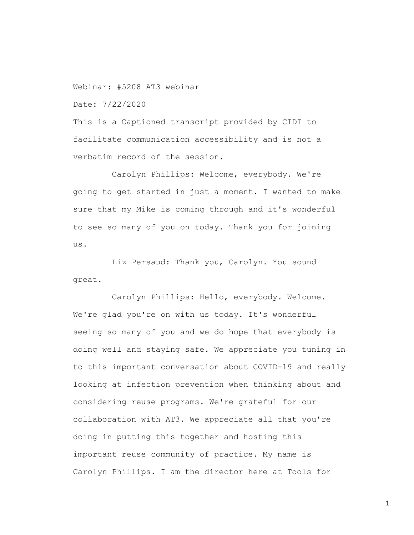Webinar: #5208 AT3 webinar

Date: 7/22/2020

This is a Captioned transcript provided by CIDI to facilitate communication accessibility and is not a verbatim record of the session.

Carolyn Phillips: Welcome, everybody. We're going to get started in just a moment. I wanted to make sure that my Mike is coming through and it's wonderful to see so many of you on today. Thank you for joining us.

Liz Persaud: Thank you, Carolyn. You sound great.

Carolyn Phillips: Hello, everybody. Welcome. We're glad you're on with us today. It's wonderful seeing so many of you and we do hope that everybody is doing well and staying safe. We appreciate you tuning in to this important conversation about COVID-19 and really looking at infection prevention when thinking about and considering reuse programs. We're grateful for our collaboration with AT3. We appreciate all that you're doing in putting this together and hosting this important reuse community of practice. My name is Carolyn Phillips. I am the director here at Tools for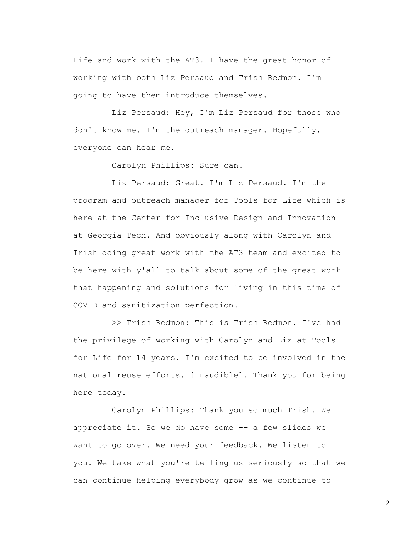Life and work with the AT3. I have the great honor of working with both Liz Persaud and Trish Redmon. I'm going to have them introduce themselves.

Liz Persaud: Hey, I'm Liz Persaud for those who don't know me. I'm the outreach manager. Hopefully, everyone can hear me.

Carolyn Phillips: Sure can.

Liz Persaud: Great. I'm Liz Persaud. I'm the program and outreach manager for Tools for Life which is here at the Center for Inclusive Design and Innovation at Georgia Tech. And obviously along with Carolyn and Trish doing great work with the AT3 team and excited to be here with y'all to talk about some of the great work that happening and solutions for living in this time of COVID and sanitization perfection.

>> Trish Redmon: This is Trish Redmon. I've had the privilege of working with Carolyn and Liz at Tools for Life for 14 years. I'm excited to be involved in the national reuse efforts. [Inaudible]. Thank you for being here today.

Carolyn Phillips: Thank you so much Trish. We appreciate it. So we do have some -- a few slides we want to go over. We need your feedback. We listen to you. We take what you're telling us seriously so that we can continue helping everybody grow as we continue to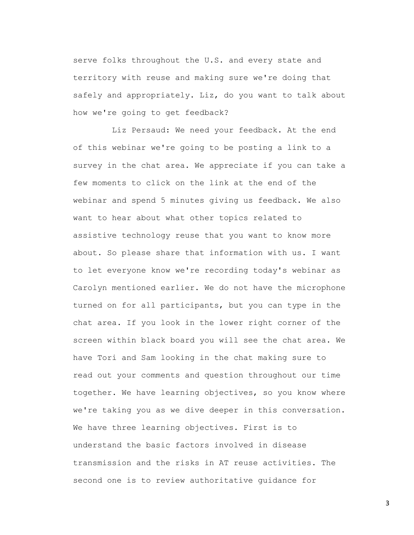serve folks throughout the U.S. and every state and territory with reuse and making sure we're doing that safely and appropriately. Liz, do you want to talk about how we're going to get feedback?

Liz Persaud: We need your feedback. At the end of this webinar we're going to be posting a link to a survey in the chat area. We appreciate if you can take a few moments to click on the link at the end of the webinar and spend 5 minutes giving us feedback. We also want to hear about what other topics related to assistive technology reuse that you want to know more about. So please share that information with us. I want to let everyone know we're recording today's webinar as Carolyn mentioned earlier. We do not have the microphone turned on for all participants, but you can type in the chat area. If you look in the lower right corner of the screen within black board you will see the chat area. We have Tori and Sam looking in the chat making sure to read out your comments and question throughout our time together. We have learning objectives, so you know where we're taking you as we dive deeper in this conversation. We have three learning objectives. First is to understand the basic factors involved in disease transmission and the risks in AT reuse activities. The second one is to review authoritative guidance for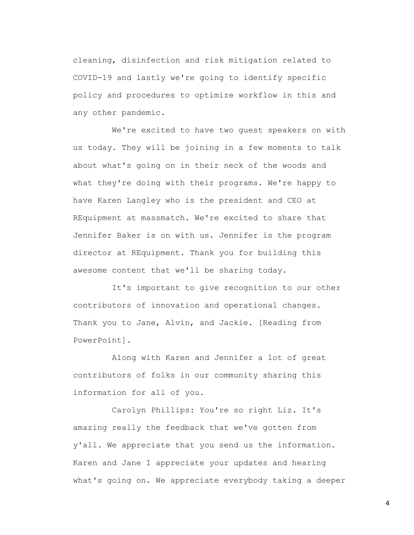cleaning, disinfection and risk mitigation related to COVID-19 and lastly we're going to identify specific policy and procedures to optimize workflow in this and any other pandemic.

We're excited to have two guest speakers on with us today. They will be joining in a few moments to talk about what's going on in their neck of the woods and what they're doing with their programs. We're happy to have Karen Langley who is the president and CEO at REquipment at massmatch. We're excited to share that Jennifer Baker is on with us. Jennifer is the program director at REquipment. Thank you for building this awesome content that we'll be sharing today.

It's important to give recognition to our other contributors of innovation and operational changes. Thank you to Jane, Alvin, and Jackie. [Reading from PowerPoint].

Along with Karen and Jennifer a lot of great contributors of folks in our community sharing this information for all of you.

Carolyn Phillips: You're so right Liz. It's amazing really the feedback that we've gotten from y'all. We appreciate that you send us the information. Karen and Jane I appreciate your updates and hearing what's going on. We appreciate everybody taking a deeper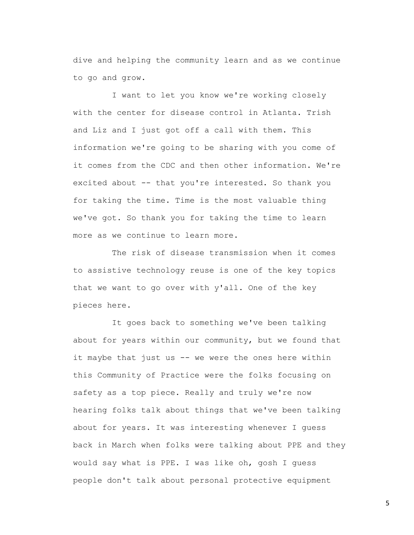dive and helping the community learn and as we continue to go and grow.

I want to let you know we're working closely with the center for disease control in Atlanta. Trish and Liz and I just got off a call with them. This information we're going to be sharing with you come of it comes from the CDC and then other information. We're excited about -- that you're interested. So thank you for taking the time. Time is the most valuable thing we've got. So thank you for taking the time to learn more as we continue to learn more.

The risk of disease transmission when it comes to assistive technology reuse is one of the key topics that we want to go over with y'all. One of the key pieces here.

It goes back to something we've been talking about for years within our community, but we found that it maybe that just us -- we were the ones here within this Community of Practice were the folks focusing on safety as a top piece. Really and truly we're now hearing folks talk about things that we've been talking about for years. It was interesting whenever I guess back in March when folks were talking about PPE and they would say what is PPE. I was like oh, gosh I guess people don't talk about personal protective equipment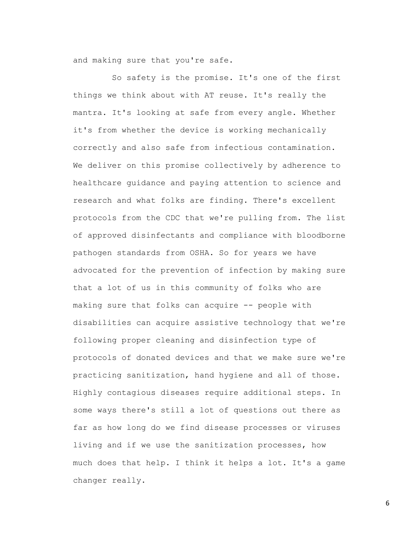and making sure that you're safe.

So safety is the promise. It's one of the first things we think about with AT reuse. It's really the mantra. It's looking at safe from every angle. Whether it's from whether the device is working mechanically correctly and also safe from infectious contamination. We deliver on this promise collectively by adherence to healthcare guidance and paying attention to science and research and what folks are finding. There's excellent protocols from the CDC that we're pulling from. The list of approved disinfectants and compliance with bloodborne pathogen standards from OSHA. So for years we have advocated for the prevention of infection by making sure that a lot of us in this community of folks who are making sure that folks can acquire -- people with disabilities can acquire assistive technology that we're following proper cleaning and disinfection type of protocols of donated devices and that we make sure we're practicing sanitization, hand hygiene and all of those. Highly contagious diseases require additional steps. In some ways there's still a lot of questions out there as far as how long do we find disease processes or viruses living and if we use the sanitization processes, how much does that help. I think it helps a lot. It's a game changer really.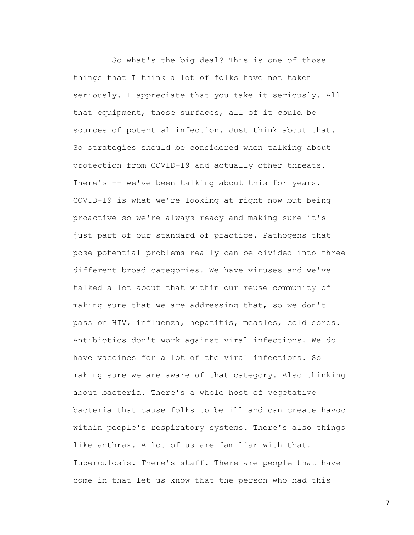So what's the big deal? This is one of those things that I think a lot of folks have not taken seriously. I appreciate that you take it seriously. All that equipment, those surfaces, all of it could be sources of potential infection. Just think about that. So strategies should be considered when talking about protection from COVID-19 and actually other threats. There's -- we've been talking about this for years. COVID-19 is what we're looking at right now but being proactive so we're always ready and making sure it's just part of our standard of practice. Pathogens that pose potential problems really can be divided into three different broad categories. We have viruses and we've talked a lot about that within our reuse community of making sure that we are addressing that, so we don't pass on HIV, influenza, hepatitis, measles, cold sores. Antibiotics don't work against viral infections. We do have vaccines for a lot of the viral infections. So making sure we are aware of that category. Also thinking about bacteria. There's a whole host of vegetative bacteria that cause folks to be ill and can create havoc within people's respiratory systems. There's also things like anthrax. A lot of us are familiar with that. Tuberculosis. There's staff. There are people that have come in that let us know that the person who had this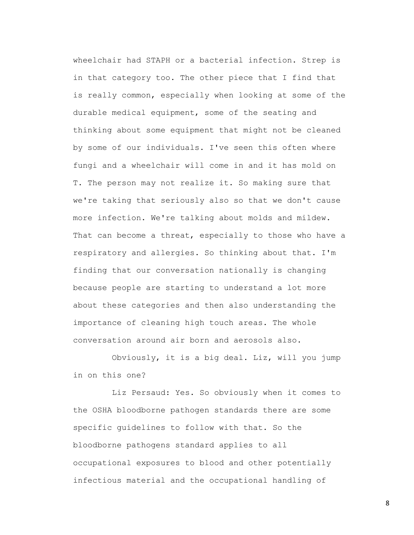wheelchair had STAPH or a bacterial infection. Strep is in that category too. The other piece that I find that is really common, especially when looking at some of the durable medical equipment, some of the seating and thinking about some equipment that might not be cleaned by some of our individuals. I've seen this often where fungi and a wheelchair will come in and it has mold on T. The person may not realize it. So making sure that we're taking that seriously also so that we don't cause more infection. We're talking about molds and mildew. That can become a threat, especially to those who have a respiratory and allergies. So thinking about that. I'm finding that our conversation nationally is changing because people are starting to understand a lot more about these categories and then also understanding the importance of cleaning high touch areas. The whole conversation around air born and aerosols also.

Obviously, it is a big deal. Liz, will you jump in on this one?

Liz Persaud: Yes. So obviously when it comes to the OSHA bloodborne pathogen standards there are some specific guidelines to follow with that. So the bloodborne pathogens standard applies to all occupational exposures to blood and other potentially infectious material and the occupational handling of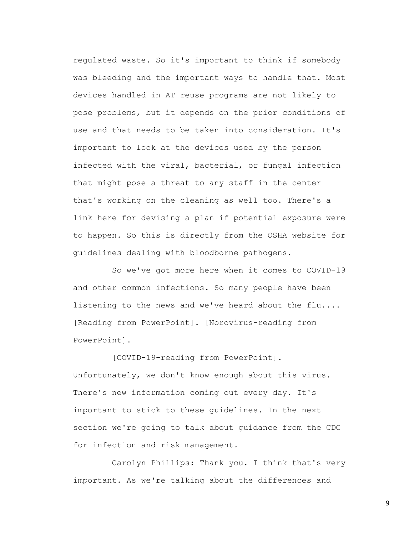regulated waste. So it's important to think if somebody was bleeding and the important ways to handle that. Most devices handled in AT reuse programs are not likely to pose problems, but it depends on the prior conditions of use and that needs to be taken into consideration. It's important to look at the devices used by the person infected with the viral, bacterial, or fungal infection that might pose a threat to any staff in the center that's working on the cleaning as well too. There's a link here for devising a plan if potential exposure were to happen. So this is directly from the OSHA website for guidelines dealing with bloodborne pathogens.

So we've got more here when it comes to COVID-19 and other common infections. So many people have been listening to the news and we've heard about the flu.... [Reading from PowerPoint]. [Norovirus-reading from PowerPoint].

[COVID-19-reading from PowerPoint].

Unfortunately, we don't know enough about this virus. There's new information coming out every day. It's important to stick to these guidelines. In the next section we're going to talk about guidance from the CDC for infection and risk management.

Carolyn Phillips: Thank you. I think that's very important. As we're talking about the differences and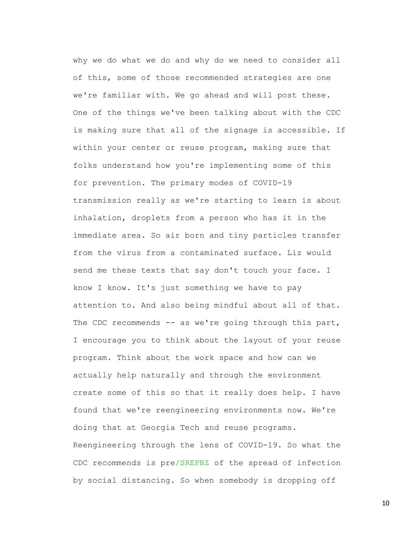why we do what we do and why do we need to consider all of this, some of those recommended strategies are one we're familiar with. We go ahead and will post these. One of the things we've been talking about with the CDC is making sure that all of the signage is accessible. If within your center or reuse program, making sure that folks understand how you're implementing some of this for prevention. The primary modes of COVID-19 transmission really as we're starting to learn is about inhalation, droplets from a person who has it in the immediate area. So air born and tiny particles transfer from the virus from a contaminated surface. Liz would send me these texts that say don't touch your face. I know I know. It's just something we have to pay attention to. And also being mindful about all of that. The CDC recommends -- as we're going through this part, I encourage you to think about the layout of your reuse program. Think about the work space and how can we actually help naturally and through the environment create some of this so that it really does help. I have found that we're reengineering environments now. We're doing that at Georgia Tech and reuse programs. Reengineering through the lens of COVID-19. So what the CDC recommends is pre/SREPBZ of the spread of infection by social distancing. So when somebody is dropping off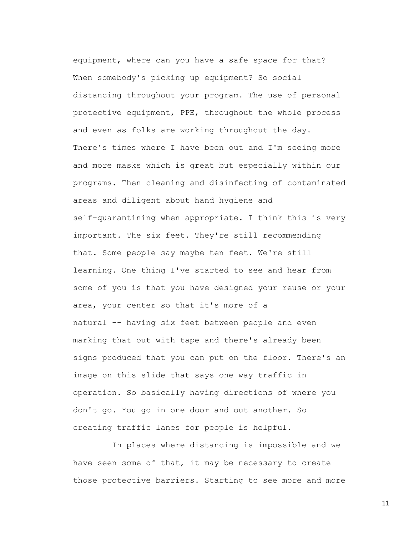equipment, where can you have a safe space for that? When somebody's picking up equipment? So social distancing throughout your program. The use of personal protective equipment, PPE, throughout the whole process and even as folks are working throughout the day. There's times where I have been out and I'm seeing more and more masks which is great but especially within our programs. Then cleaning and disinfecting of contaminated areas and diligent about hand hygiene and self-quarantining when appropriate. I think this is very important. The six feet. They're still recommending that. Some people say maybe ten feet. We're still learning. One thing I've started to see and hear from some of you is that you have designed your reuse or your area, your center so that it's more of a natural -- having six feet between people and even marking that out with tape and there's already been signs produced that you can put on the floor. There's an image on this slide that says one way traffic in operation. So basically having directions of where you don't go. You go in one door and out another. So creating traffic lanes for people is helpful.

In places where distancing is impossible and we have seen some of that, it may be necessary to create those protective barriers. Starting to see more and more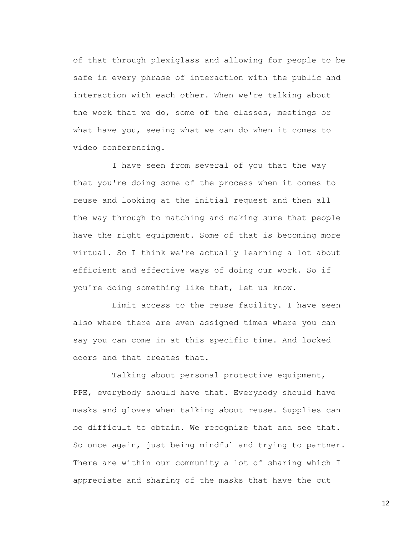of that through plexiglass and allowing for people to be safe in every phrase of interaction with the public and interaction with each other. When we're talking about the work that we do, some of the classes, meetings or what have you, seeing what we can do when it comes to video conferencing.

I have seen from several of you that the way that you're doing some of the process when it comes to reuse and looking at the initial request and then all the way through to matching and making sure that people have the right equipment. Some of that is becoming more virtual. So I think we're actually learning a lot about efficient and effective ways of doing our work. So if you're doing something like that, let us know.

Limit access to the reuse facility. I have seen also where there are even assigned times where you can say you can come in at this specific time. And locked doors and that creates that.

Talking about personal protective equipment, PPE, everybody should have that. Everybody should have masks and gloves when talking about reuse. Supplies can be difficult to obtain. We recognize that and see that. So once again, just being mindful and trying to partner. There are within our community a lot of sharing which I appreciate and sharing of the masks that have the cut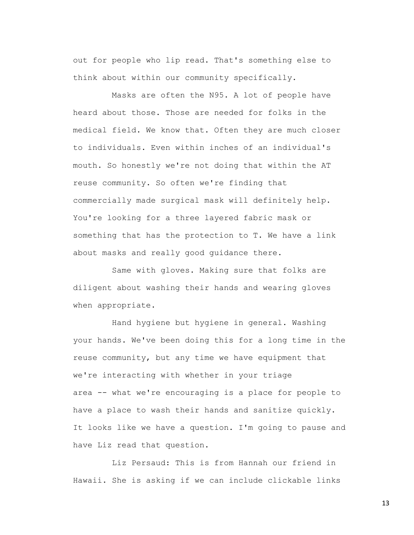out for people who lip read. That's something else to think about within our community specifically.

Masks are often the N95. A lot of people have heard about those. Those are needed for folks in the medical field. We know that. Often they are much closer to individuals. Even within inches of an individual's mouth. So honestly we're not doing that within the AT reuse community. So often we're finding that commercially made surgical mask will definitely help. You're looking for a three layered fabric mask or something that has the protection to T. We have a link about masks and really good guidance there.

Same with gloves. Making sure that folks are diligent about washing their hands and wearing gloves when appropriate.

Hand hygiene but hygiene in general. Washing your hands. We've been doing this for a long time in the reuse community, but any time we have equipment that we're interacting with whether in your triage area -- what we're encouraging is a place for people to have a place to wash their hands and sanitize quickly. It looks like we have a question. I'm going to pause and have Liz read that question.

Liz Persaud: This is from Hannah our friend in Hawaii. She is asking if we can include clickable links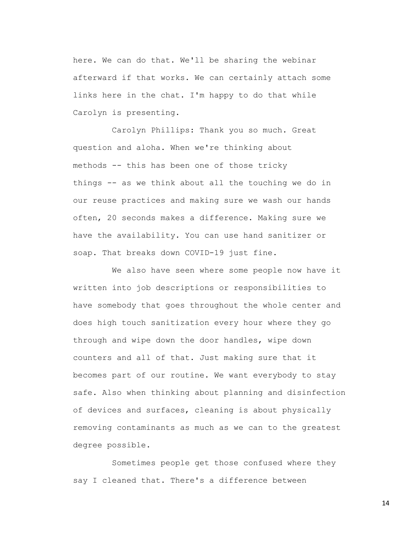here. We can do that. We'll be sharing the webinar afterward if that works. We can certainly attach some links here in the chat. I'm happy to do that while Carolyn is presenting.

Carolyn Phillips: Thank you so much. Great question and aloha. When we're thinking about methods -- this has been one of those tricky things -- as we think about all the touching we do in our reuse practices and making sure we wash our hands often, 20 seconds makes a difference. Making sure we have the availability. You can use hand sanitizer or soap. That breaks down COVID-19 just fine.

We also have seen where some people now have it written into job descriptions or responsibilities to have somebody that goes throughout the whole center and does high touch sanitization every hour where they go through and wipe down the door handles, wipe down counters and all of that. Just making sure that it becomes part of our routine. We want everybody to stay safe. Also when thinking about planning and disinfection of devices and surfaces, cleaning is about physically removing contaminants as much as we can to the greatest degree possible.

Sometimes people get those confused where they say I cleaned that. There's a difference between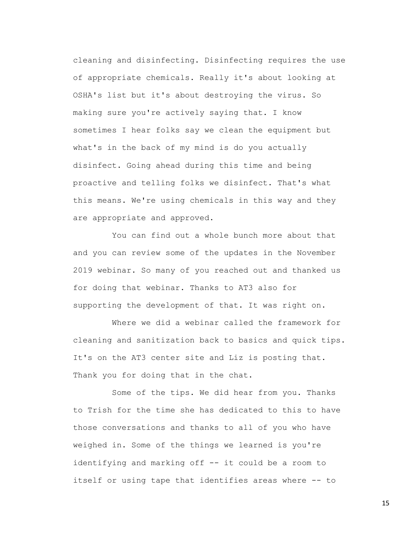cleaning and disinfecting. Disinfecting requires the use of appropriate chemicals. Really it's about looking at OSHA's list but it's about destroying the virus. So making sure you're actively saying that. I know sometimes I hear folks say we clean the equipment but what's in the back of my mind is do you actually disinfect. Going ahead during this time and being proactive and telling folks we disinfect. That's what this means. We're using chemicals in this way and they are appropriate and approved.

You can find out a whole bunch more about that and you can review some of the updates in the November 2019 webinar. So many of you reached out and thanked us for doing that webinar. Thanks to AT3 also for supporting the development of that. It was right on.

Where we did a webinar called the framework for cleaning and sanitization back to basics and quick tips. It's on the AT3 center site and Liz is posting that. Thank you for doing that in the chat.

Some of the tips. We did hear from you. Thanks to Trish for the time she has dedicated to this to have those conversations and thanks to all of you who have weighed in. Some of the things we learned is you're identifying and marking off -- it could be a room to itself or using tape that identifies areas where -- to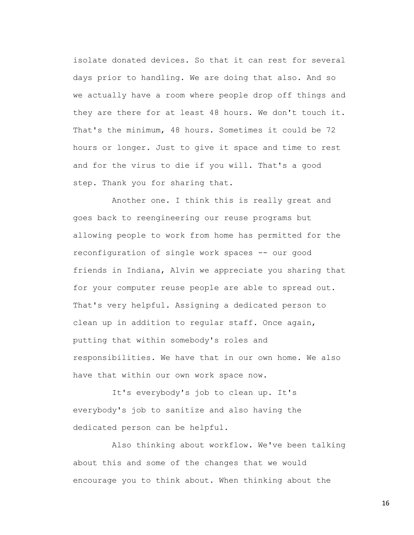isolate donated devices. So that it can rest for several days prior to handling. We are doing that also. And so we actually have a room where people drop off things and they are there for at least 48 hours. We don't touch it. That's the minimum, 48 hours. Sometimes it could be 72 hours or longer. Just to give it space and time to rest and for the virus to die if you will. That's a good step. Thank you for sharing that.

Another one. I think this is really great and goes back to reengineering our reuse programs but allowing people to work from home has permitted for the reconfiguration of single work spaces -- our good friends in Indiana, Alvin we appreciate you sharing that for your computer reuse people are able to spread out. That's very helpful. Assigning a dedicated person to clean up in addition to regular staff. Once again, putting that within somebody's roles and responsibilities. We have that in our own home. We also have that within our own work space now.

It's everybody's job to clean up. It's everybody's job to sanitize and also having the dedicated person can be helpful.

Also thinking about workflow. We've been talking about this and some of the changes that we would encourage you to think about. When thinking about the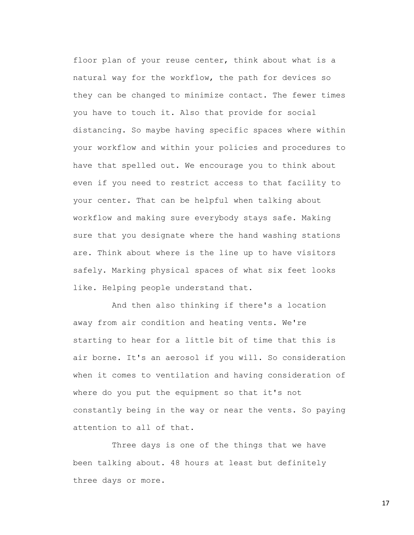floor plan of your reuse center, think about what is a natural way for the workflow, the path for devices so they can be changed to minimize contact. The fewer times you have to touch it. Also that provide for social distancing. So maybe having specific spaces where within your workflow and within your policies and procedures to have that spelled out. We encourage you to think about even if you need to restrict access to that facility to your center. That can be helpful when talking about workflow and making sure everybody stays safe. Making sure that you designate where the hand washing stations are. Think about where is the line up to have visitors safely. Marking physical spaces of what six feet looks like. Helping people understand that.

And then also thinking if there's a location away from air condition and heating vents. We're starting to hear for a little bit of time that this is air borne. It's an aerosol if you will. So consideration when it comes to ventilation and having consideration of where do you put the equipment so that it's not constantly being in the way or near the vents. So paying attention to all of that.

Three days is one of the things that we have been talking about. 48 hours at least but definitely three days or more.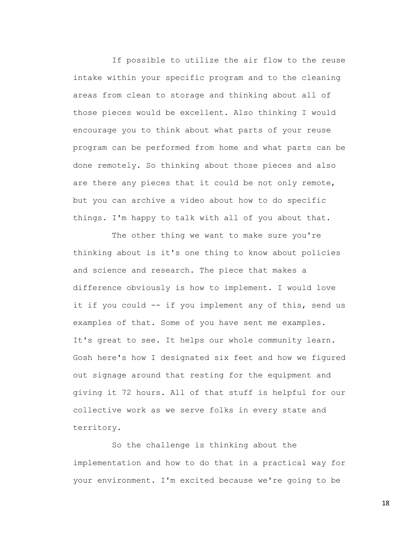If possible to utilize the air flow to the reuse intake within your specific program and to the cleaning areas from clean to storage and thinking about all of those pieces would be excellent. Also thinking I would encourage you to think about what parts of your reuse program can be performed from home and what parts can be done remotely. So thinking about those pieces and also are there any pieces that it could be not only remote, but you can archive a video about how to do specific things. I'm happy to talk with all of you about that.

The other thing we want to make sure you're thinking about is it's one thing to know about policies and science and research. The piece that makes a difference obviously is how to implement. I would love it if you could -- if you implement any of this, send us examples of that. Some of you have sent me examples. It's great to see. It helps our whole community learn. Gosh here's how I designated six feet and how we figured out signage around that resting for the equipment and giving it 72 hours. All of that stuff is helpful for our collective work as we serve folks in every state and territory.

So the challenge is thinking about the implementation and how to do that in a practical way for your environment. I'm excited because we're going to be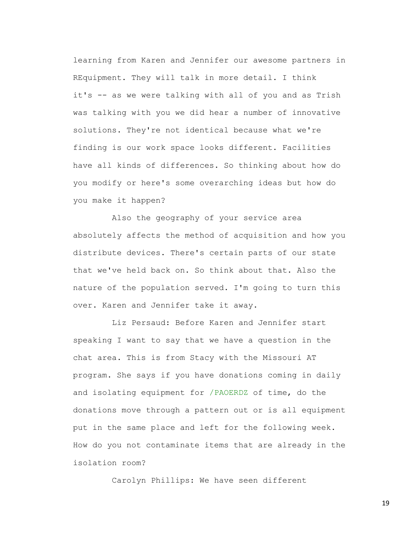learning from Karen and Jennifer our awesome partners in REquipment. They will talk in more detail. I think it's -- as we were talking with all of you and as Trish was talking with you we did hear a number of innovative solutions. They're not identical because what we're finding is our work space looks different. Facilities have all kinds of differences. So thinking about how do you modify or here's some overarching ideas but how do you make it happen?

Also the geography of your service area absolutely affects the method of acquisition and how you distribute devices. There's certain parts of our state that we've held back on. So think about that. Also the nature of the population served. I'm going to turn this over. Karen and Jennifer take it away.

Liz Persaud: Before Karen and Jennifer start speaking I want to say that we have a question in the chat area. This is from Stacy with the Missouri AT program. She says if you have donations coming in daily and isolating equipment for /PAOERDZ of time, do the donations move through a pattern out or is all equipment put in the same place and left for the following week. How do you not contaminate items that are already in the isolation room?

Carolyn Phillips: We have seen different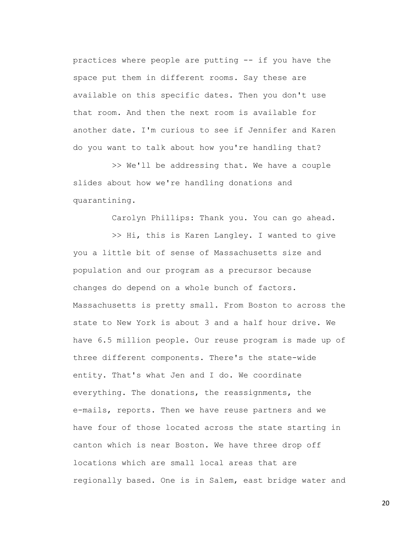practices where people are putting -- if you have the space put them in different rooms. Say these are available on this specific dates. Then you don't use that room. And then the next room is available for another date. I'm curious to see if Jennifer and Karen do you want to talk about how you're handling that?

>> We'll be addressing that. We have a couple slides about how we're handling donations and quarantining.

Carolyn Phillips: Thank you. You can go ahead.

>> Hi, this is Karen Langley. I wanted to give you a little bit of sense of Massachusetts size and population and our program as a precursor because changes do depend on a whole bunch of factors. Massachusetts is pretty small. From Boston to across the state to New York is about 3 and a half hour drive. We have 6.5 million people. Our reuse program is made up of three different components. There's the state-wide entity. That's what Jen and I do. We coordinate everything. The donations, the reassignments, the e-mails, reports. Then we have reuse partners and we have four of those located across the state starting in canton which is near Boston. We have three drop off locations which are small local areas that are regionally based. One is in Salem, east bridge water and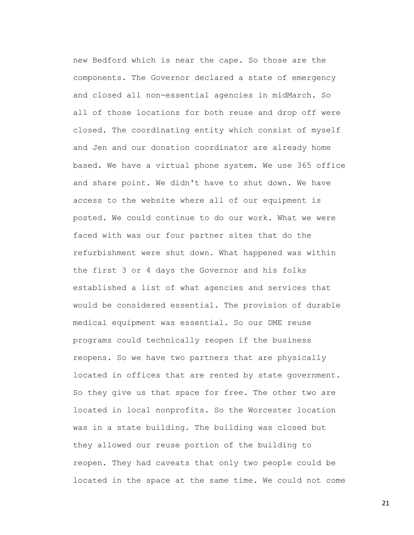new Bedford which is near the cape. So those are the components. The Governor declared a state of emergency and closed all non-essential agencies in midMarch. So all of those locations for both reuse and drop off were closed. The coordinating entity which consist of myself and Jen and our donation coordinator are already home based. We have a virtual phone system. We use 365 office and share point. We didn't have to shut down. We have access to the website where all of our equipment is posted. We could continue to do our work. What we were faced with was our four partner sites that do the refurbishment were shut down. What happened was within the first 3 or 4 days the Governor and his folks established a list of what agencies and services that would be considered essential. The provision of durable medical equipment was essential. So our DME reuse programs could technically reopen if the business reopens. So we have two partners that are physically located in offices that are rented by state government. So they give us that space for free. The other two are located in local nonprofits. So the Worcester location was in a state building. The building was closed but they allowed our reuse portion of the building to reopen. They had caveats that only two people could be located in the space at the same time. We could not come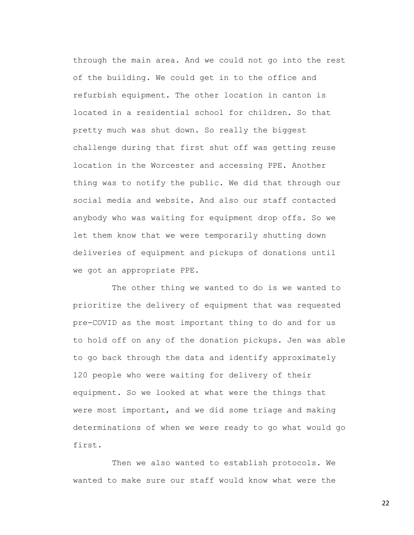through the main area. And we could not go into the rest of the building. We could get in to the office and refurbish equipment. The other location in canton is located in a residential school for children. So that pretty much was shut down. So really the biggest challenge during that first shut off was getting reuse location in the Worcester and accessing PPE. Another thing was to notify the public. We did that through our social media and website. And also our staff contacted anybody who was waiting for equipment drop offs. So we let them know that we were temporarily shutting down deliveries of equipment and pickups of donations until we got an appropriate PPE.

The other thing we wanted to do is we wanted to prioritize the delivery of equipment that was requested pre-COVID as the most important thing to do and for us to hold off on any of the donation pickups. Jen was able to go back through the data and identify approximately 120 people who were waiting for delivery of their equipment. So we looked at what were the things that were most important, and we did some triage and making determinations of when we were ready to go what would go first.

Then we also wanted to establish protocols. We wanted to make sure our staff would know what were the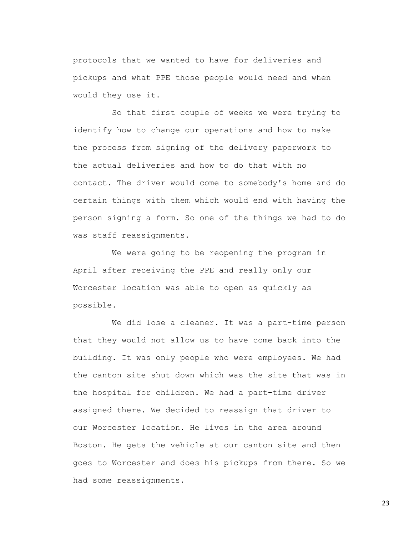protocols that we wanted to have for deliveries and pickups and what PPE those people would need and when would they use it.

So that first couple of weeks we were trying to identify how to change our operations and how to make the process from signing of the delivery paperwork to the actual deliveries and how to do that with no contact. The driver would come to somebody's home and do certain things with them which would end with having the person signing a form. So one of the things we had to do was staff reassignments.

We were going to be reopening the program in April after receiving the PPE and really only our Worcester location was able to open as quickly as possible.

We did lose a cleaner. It was a part-time person that they would not allow us to have come back into the building. It was only people who were employees. We had the canton site shut down which was the site that was in the hospital for children. We had a part-time driver assigned there. We decided to reassign that driver to our Worcester location. He lives in the area around Boston. He gets the vehicle at our canton site and then goes to Worcester and does his pickups from there. So we had some reassignments.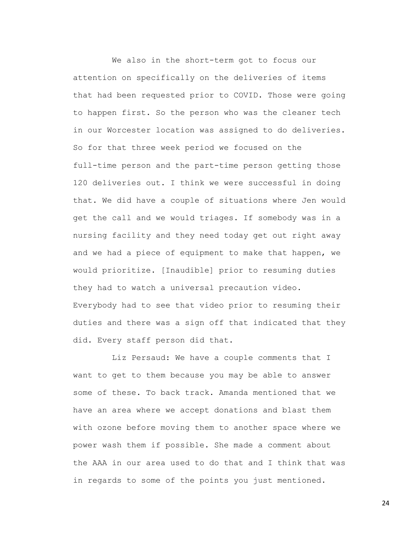We also in the short-term got to focus our attention on specifically on the deliveries of items that had been requested prior to COVID. Those were going to happen first. So the person who was the cleaner tech in our Worcester location was assigned to do deliveries. So for that three week period we focused on the full-time person and the part-time person getting those 120 deliveries out. I think we were successful in doing that. We did have a couple of situations where Jen would get the call and we would triages. If somebody was in a nursing facility and they need today get out right away and we had a piece of equipment to make that happen, we would prioritize. [Inaudible] prior to resuming duties they had to watch a universal precaution video. Everybody had to see that video prior to resuming their duties and there was a sign off that indicated that they did. Every staff person did that.

Liz Persaud: We have a couple comments that I want to get to them because you may be able to answer some of these. To back track. Amanda mentioned that we have an area where we accept donations and blast them with ozone before moving them to another space where we power wash them if possible. She made a comment about the AAA in our area used to do that and I think that was in regards to some of the points you just mentioned.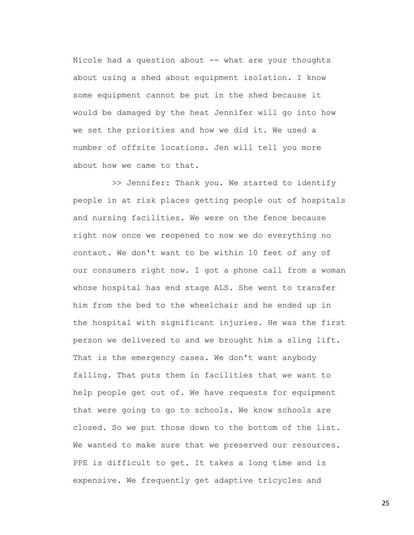Nicole had a question about -- what are your thoughts about using a shed about equipment isolation. I know some equipment cannot be put in the shed because it would be damaged by the heat Jennifer will go into how we set the priorities and how we did it. We used a number of offsite locations. Jen will tell you more about how we came to that.

>> Jennifer: Thank you. We started to identify people in at risk places getting people out of hospitals and nursing facilities. We were on the fence because right now once we reopened to now we do everything no contact. We don't want to be within 10 feet of any of our consumers right now. I got a phone call from a woman whose hospital has end stage ALS. She went to transfer him from the bed to the wheelchair and he ended up in the hospital with significant injuries. He was the first person we delivered to and we brought him a sling lift. That is the emergency cases. We don't want anybody falling. That puts them in facilities that we want to help people get out of. We have requests for equipment that were going to go to schools. We know schools are closed. So we put those down to the bottom of the list. We wanted to make sure that we preserved our resources. PPE is difficult to get. It takes a long time and is expensive. We frequently get adaptive tricycles and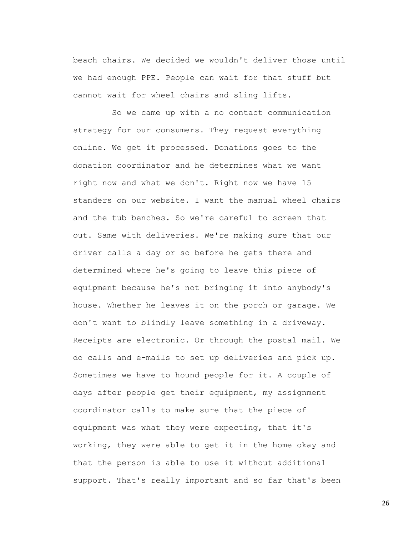beach chairs. We decided we wouldn't deliver those until we had enough PPE. People can wait for that stuff but cannot wait for wheel chairs and sling lifts.

So we came up with a no contact communication strategy for our consumers. They request everything online. We get it processed. Donations goes to the donation coordinator and he determines what we want right now and what we don't. Right now we have 15 standers on our website. I want the manual wheel chairs and the tub benches. So we're careful to screen that out. Same with deliveries. We're making sure that our driver calls a day or so before he gets there and determined where he's going to leave this piece of equipment because he's not bringing it into anybody's house. Whether he leaves it on the porch or garage. We don't want to blindly leave something in a driveway. Receipts are electronic. Or through the postal mail. We do calls and e-mails to set up deliveries and pick up. Sometimes we have to hound people for it. A couple of days after people get their equipment, my assignment coordinator calls to make sure that the piece of equipment was what they were expecting, that it's working, they were able to get it in the home okay and that the person is able to use it without additional support. That's really important and so far that's been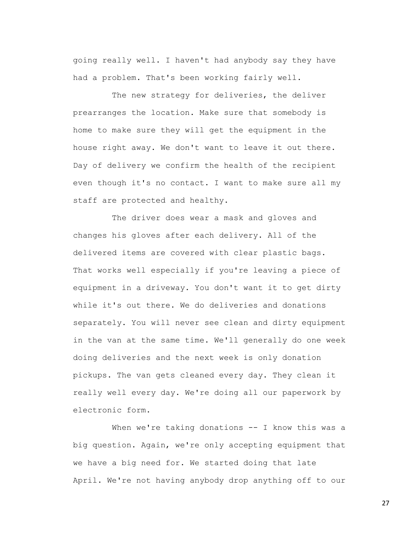going really well. I haven't had anybody say they have had a problem. That's been working fairly well.

The new strategy for deliveries, the deliver prearranges the location. Make sure that somebody is home to make sure they will get the equipment in the house right away. We don't want to leave it out there. Day of delivery we confirm the health of the recipient even though it's no contact. I want to make sure all my staff are protected and healthy.

The driver does wear a mask and gloves and changes his gloves after each delivery. All of the delivered items are covered with clear plastic bags. That works well especially if you're leaving a piece of equipment in a driveway. You don't want it to get dirty while it's out there. We do deliveries and donations separately. You will never see clean and dirty equipment in the van at the same time. We'll generally do one week doing deliveries and the next week is only donation pickups. The van gets cleaned every day. They clean it really well every day. We're doing all our paperwork by electronic form.

When we're taking donations -- I know this was a big question. Again, we're only accepting equipment that we have a big need for. We started doing that late April. We're not having anybody drop anything off to our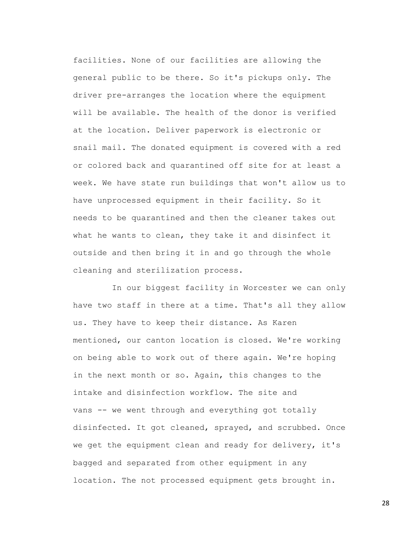facilities. None of our facilities are allowing the general public to be there. So it's pickups only. The driver pre-arranges the location where the equipment will be available. The health of the donor is verified at the location. Deliver paperwork is electronic or snail mail. The donated equipment is covered with a red or colored back and quarantined off site for at least a week. We have state run buildings that won't allow us to have unprocessed equipment in their facility. So it needs to be quarantined and then the cleaner takes out what he wants to clean, they take it and disinfect it outside and then bring it in and go through the whole cleaning and sterilization process.

In our biggest facility in Worcester we can only have two staff in there at a time. That's all they allow us. They have to keep their distance. As Karen mentioned, our canton location is closed. We're working on being able to work out of there again. We're hoping in the next month or so. Again, this changes to the intake and disinfection workflow. The site and vans -- we went through and everything got totally disinfected. It got cleaned, sprayed, and scrubbed. Once we get the equipment clean and ready for delivery, it's bagged and separated from other equipment in any location. The not processed equipment gets brought in.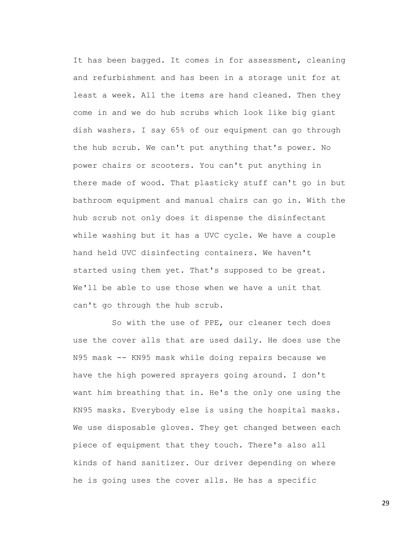It has been bagged. It comes in for assessment, cleaning and refurbishment and has been in a storage unit for at least a week. All the items are hand cleaned. Then they come in and we do hub scrubs which look like big giant dish washers. I say 65% of our equipment can go through the hub scrub. We can't put anything that's power. No power chairs or scooters. You can't put anything in there made of wood. That plasticky stuff can't go in but bathroom equipment and manual chairs can go in. With the hub scrub not only does it dispense the disinfectant while washing but it has a UVC cycle. We have a couple hand held UVC disinfecting containers. We haven't started using them yet. That's supposed to be great. We'll be able to use those when we have a unit that can't go through the hub scrub.

So with the use of PPE, our cleaner tech does use the cover alls that are used daily. He does use the N95 mask -- KN95 mask while doing repairs because we have the high powered sprayers going around. I don't want him breathing that in. He's the only one using the KN95 masks. Everybody else is using the hospital masks. We use disposable gloves. They get changed between each piece of equipment that they touch. There's also all kinds of hand sanitizer. Our driver depending on where he is going uses the cover alls. He has a specific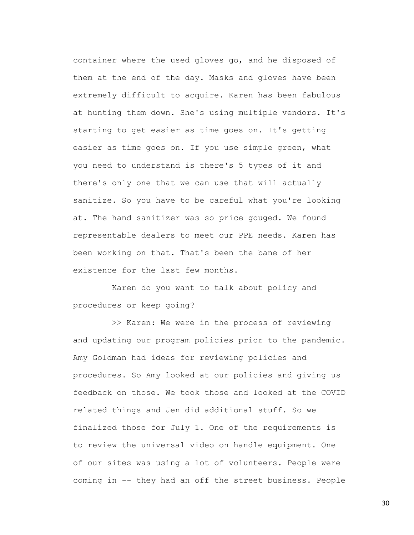container where the used gloves go, and he disposed of them at the end of the day. Masks and gloves have been extremely difficult to acquire. Karen has been fabulous at hunting them down. She's using multiple vendors. It's starting to get easier as time goes on. It's getting easier as time goes on. If you use simple green, what you need to understand is there's 5 types of it and there's only one that we can use that will actually sanitize. So you have to be careful what you're looking at. The hand sanitizer was so price gouged. We found representable dealers to meet our PPE needs. Karen has been working on that. That's been the bane of her existence for the last few months.

Karen do you want to talk about policy and procedures or keep going?

>> Karen: We were in the process of reviewing and updating our program policies prior to the pandemic. Amy Goldman had ideas for reviewing policies and procedures. So Amy looked at our policies and giving us feedback on those. We took those and looked at the COVID related things and Jen did additional stuff. So we finalized those for July 1. One of the requirements is to review the universal video on handle equipment. One of our sites was using a lot of volunteers. People were coming in -- they had an off the street business. People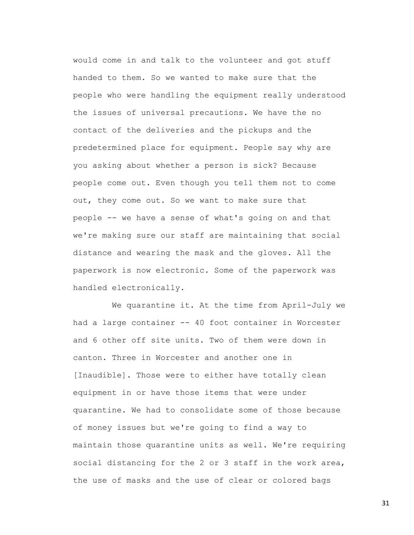would come in and talk to the volunteer and got stuff handed to them. So we wanted to make sure that the people who were handling the equipment really understood the issues of universal precautions. We have the no contact of the deliveries and the pickups and the predetermined place for equipment. People say why are you asking about whether a person is sick? Because people come out. Even though you tell them not to come out, they come out. So we want to make sure that people -- we have a sense of what's going on and that we're making sure our staff are maintaining that social distance and wearing the mask and the gloves. All the paperwork is now electronic. Some of the paperwork was handled electronically.

We quarantine it. At the time from April-July we had a large container -- 40 foot container in Worcester and 6 other off site units. Two of them were down in canton. Three in Worcester and another one in [Inaudible]. Those were to either have totally clean equipment in or have those items that were under quarantine. We had to consolidate some of those because of money issues but we're going to find a way to maintain those quarantine units as well. We're requiring social distancing for the 2 or 3 staff in the work area, the use of masks and the use of clear or colored bags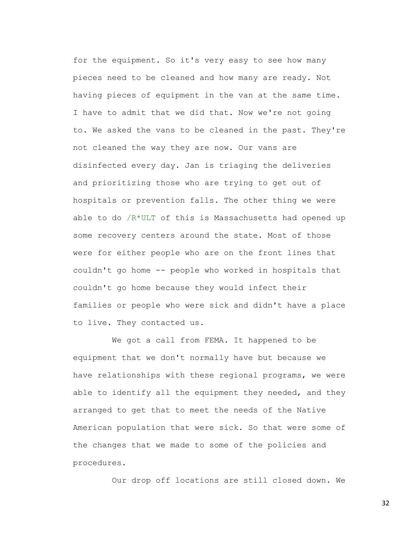for the equipment. So it's very easy to see how many pieces need to be cleaned and how many are ready. Not having pieces of equipment in the van at the same time. I have to admit that we did that. Now we're not going to. We asked the vans to be cleaned in the past. They're not cleaned the way they are now. Our vans are disinfected every day. Jan is triaging the deliveries and prioritizing those who are trying to get out of hospitals or prevention falls. The other thing we were able to do /R\*ULT of this is Massachusetts had opened up some recovery centers around the state. Most of those were for either people who are on the front lines that couldn't go home -- people who worked in hospitals that couldn't go home because they would infect their families or people who were sick and didn't have a place to live. They contacted us.

We got a call from FEMA. It happened to be equipment that we don't normally have but because we have relationships with these regional programs, we were able to identify all the equipment they needed, and they arranged to get that to meet the needs of the Native American population that were sick. So that were some of the changes that we made to some of the policies and procedures.

Our drop off locations are still closed down. We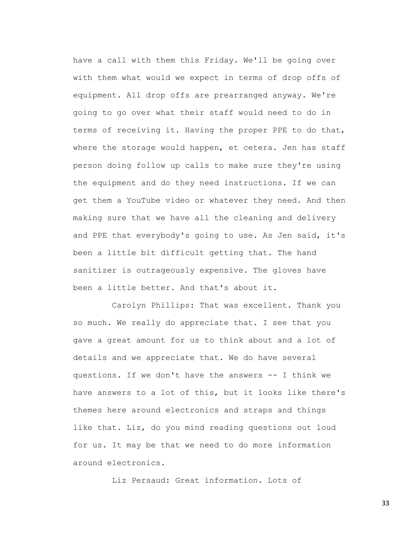have a call with them this Friday. We'll be going over with them what would we expect in terms of drop offs of equipment. All drop offs are prearranged anyway. We're going to go over what their staff would need to do in terms of receiving it. Having the proper PPE to do that, where the storage would happen, et cetera. Jen has staff person doing follow up calls to make sure they're using the equipment and do they need instructions. If we can get them a YouTube video or whatever they need. And then making sure that we have all the cleaning and delivery and PPE that everybody's going to use. As Jen said, it's been a little bit difficult getting that. The hand sanitizer is outrageously expensive. The gloves have been a little better. And that's about it.

Carolyn Phillips: That was excellent. Thank you so much. We really do appreciate that. I see that you gave a great amount for us to think about and a lot of details and we appreciate that. We do have several questions. If we don't have the answers -- I think we have answers to a lot of this, but it looks like there's themes here around electronics and straps and things like that. Liz, do you mind reading questions out loud for us. It may be that we need to do more information around electronics.

Liz Persaud: Great information. Lots of